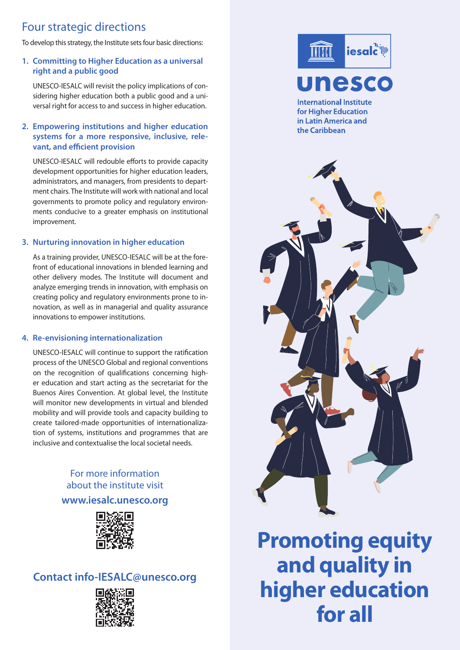# Four strategic directions

To develop this strategy, the Institute sets four basic directions:

## **1. Committing to Higher Education as a universal right and a public good**

UNESCO-IESALC will revisit the policy implications of considering higher education both a public good and a universal right for access to and success in higher education.

## **2. Empowering institutions and higher education systems for a more responsive, inclusive, relevant, and efficient provision**

UNESCO-IESALC will redouble efforts to provide capacity development opportunities for higher education leaders, administrators, and managers, from presidents to department chairs. The Institute will work with national and local governments to promote policy and regulatory environments conducive to a greater emphasis on institutional improvement.

## **3. Nurturing innovation in higher education**

As a training provider, UNESCO-IESALC will be at the forefront of educational innovations in blended learning and other delivery modes. The Institute will document and analyze emerging trends in innovation, with emphasis on creating policy and regulatory environments prone to innovation, as well as in managerial and quality assurance innovations to empower institutions.

## **4. Re-envisioning internationalization**

UNESCO-IESALC will continue to support the ratification process of the UNESCO Global and regional conventions on the recognition of qualifications concerning higher education and start acting as the secretariat for the Buenos Aires Convention. At global level, the Institute will monitor new developments in virtual and blended mobility and will provide tools and capacity building to create tailored-made opportunities of internationalization of systems, institutions and programmes that are inclusive and contextualise the local societal needs.

## For more information about the institute visit

## **www.iesalc.unesco.org**



## **Contact info-IESALC@unesco.org**





**International Institute** for Higher Education in Latin America and the Caribbean



**Promoting equity and quality in higher education for all**